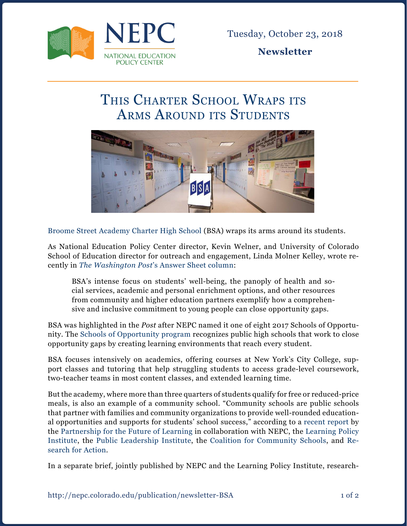

**Newsletter**

## THIS CHARTER SCHOOL WRAPS ITS ARMS AROUND ITS STUDENTS



[Broome Street Academy Charter High School](https://www.broomestreetacademy.org/) (BSA) wraps its arms around its students.

As National Education Policy Center director, Kevin Welner, and University of Colorado School of Education director for outreach and engagement, Linda Molner Kelley, wrote recently in *The Washington Post*['s Answer Sheet column:](https://www.washingtonpost.com/education/2018/09/07/if-you-dont-know-what-community-school-is-you-should-take-look-this-one/?utm_term=.9ea547af6e50)

BSA's intense focus on students' well-being, the panoply of health and social services, academic and personal enrichment options, and other resources from community and higher education partners exemplify how a comprehensive and inclusive commitment to young people can close opportunity gaps.

BSA was highlighted in the *Post* after NEPC named it one of eight 2017 Schools of Opportunity. The [Schools of Opportunity program](http://schoolsofopportunity.org/) recognizes public high schools that work to close opportunity gaps by creating learning environments that reach every student.

BSA focuses intensively on academics, offering courses at New York's City College, support classes and tutoring that help struggling students to access grade-level coursework, two-teacher teams in most content classes, and extended learning time.

But the academy, where more than three quarters of students qualify for free or reduced-price meals, is also an example of a community school. "Community schools are public schools that partner with families and community organizations to provide well-rounded educational opportunities and supports for students' school success," according to a [recent report](https://nepc.colorado.edu/sites/default/files/publications/Newsletter%20-%20community%20schools_2.pdf) by the [Partnership for the Future of Learning](https://futureforlearning.org/) in collaboration with NEPC, the [Learning Policy](https://learningpolicyinstitute.org/)  [Institute](https://learningpolicyinstitute.org/), the [Public Leadership Institute,](http://publicleadershipinstitute.org/) the [Coalition for Community Schools,](http://www.communityschools.org/) and [Re](https://www.researchforaction.org/)[search for Action.](https://www.researchforaction.org/)

In a separate brief, jointly published by NEPC and the Learning Policy Institute, research-